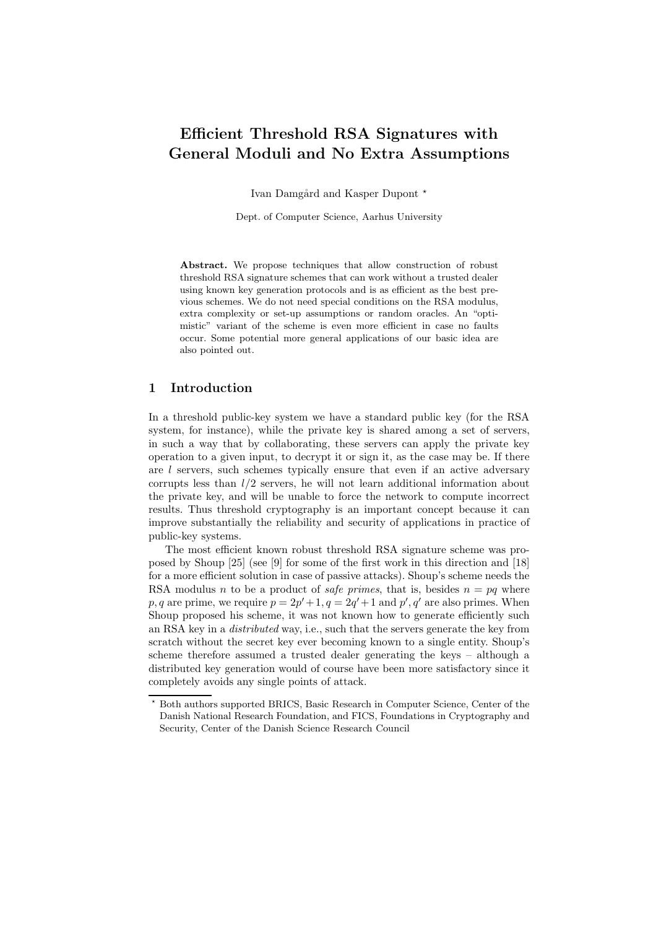# Efficient Threshold RSA Signatures with General Moduli and No Extra Assumptions

Ivan Damgård and Kasper Dupont \*

Dept. of Computer Science, Aarhus University

Abstract. We propose techniques that allow construction of robust threshold RSA signature schemes that can work without a trusted dealer using known key generation protocols and is as efficient as the best previous schemes. We do not need special conditions on the RSA modulus, extra complexity or set-up assumptions or random oracles. An "optimistic" variant of the scheme is even more efficient in case no faults occur. Some potential more general applications of our basic idea are also pointed out.

## 1 Introduction

In a threshold public-key system we have a standard public key (for the RSA system, for instance), while the private key is shared among a set of servers, in such a way that by collaborating, these servers can apply the private key operation to a given input, to decrypt it or sign it, as the case may be. If there are  $l$  servers, such schemes typically ensure that even if an active adversary corrupts less than l/2 servers, he will not learn additional information about the private key, and will be unable to force the network to compute incorrect results. Thus threshold cryptography is an important concept because it can improve substantially the reliability and security of applications in practice of public-key systems.

The most efficient known robust threshold RSA signature scheme was proposed by Shoup [25] (see [9] for some of the first work in this direction and [18] for a more efficient solution in case of passive attacks). Shoup's scheme needs the RSA modulus *n* to be a product of *safe primes*, that is, besides  $n = pq$  where p, q are prime, we require  $p = 2p' + 1$ ,  $q = 2q' + 1$  and  $p'$ , q' are also primes. When Shoup proposed his scheme, it was not known how to generate efficiently such an RSA key in a distributed way, i.e., such that the servers generate the key from scratch without the secret key ever becoming known to a single entity. Shoup's scheme therefore assumed a trusted dealer generating the keys – although a distributed key generation would of course have been more satisfactory since it completely avoids any single points of attack.

<sup>?</sup> Both authors supported BRICS, Basic Research in Computer Science, Center of the Danish National Research Foundation, and FICS, Foundations in Cryptography and Security, Center of the Danish Science Research Council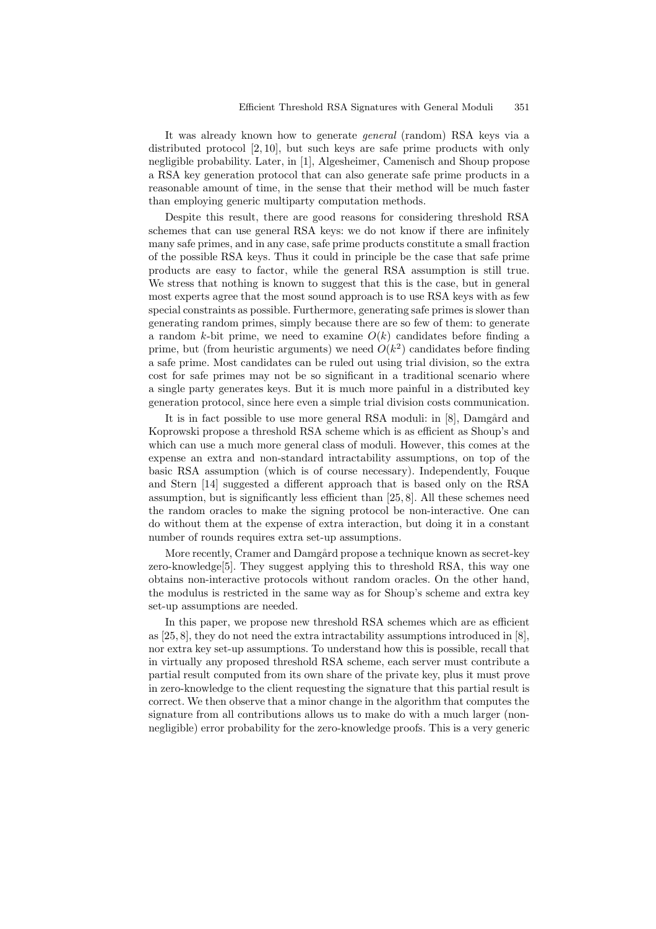It was already known how to generate general (random) RSA keys via a distributed protocol [2, 10], but such keys are safe prime products with only negligible probability. Later, in [1], Algesheimer, Camenisch and Shoup propose a RSA key generation protocol that can also generate safe prime products in a reasonable amount of time, in the sense that their method will be much faster than employing generic multiparty computation methods.

Despite this result, there are good reasons for considering threshold RSA schemes that can use general RSA keys: we do not know if there are infinitely many safe primes, and in any case, safe prime products constitute a small fraction of the possible RSA keys. Thus it could in principle be the case that safe prime products are easy to factor, while the general RSA assumption is still true. We stress that nothing is known to suggest that this is the case, but in general most experts agree that the most sound approach is to use RSA keys with as few special constraints as possible. Furthermore, generating safe primes is slower than generating random primes, simply because there are so few of them: to generate a random k-bit prime, we need to examine  $O(k)$  candidates before finding a prime, but (from heuristic arguments) we need  $O(k^2)$  candidates before finding a safe prime. Most candidates can be ruled out using trial division, so the extra cost for safe primes may not be so significant in a traditional scenario where a single party generates keys. But it is much more painful in a distributed key generation protocol, since here even a simple trial division costs communication.

It is in fact possible to use more general RSA moduli: in [8], Damgård and Koprowski propose a threshold RSA scheme which is as efficient as Shoup's and which can use a much more general class of moduli. However, this comes at the expense an extra and non-standard intractability assumptions, on top of the basic RSA assumption (which is of course necessary). Independently, Fouque and Stern [14] suggested a different approach that is based only on the RSA assumption, but is significantly less efficient than [25, 8]. All these schemes need the random oracles to make the signing protocol be non-interactive. One can do without them at the expense of extra interaction, but doing it in a constant number of rounds requires extra set-up assumptions.

More recently, Cramer and Damgård propose a technique known as secret-key zero-knowledge[5]. They suggest applying this to threshold RSA, this way one obtains non-interactive protocols without random oracles. On the other hand, the modulus is restricted in the same way as for Shoup's scheme and extra key set-up assumptions are needed.

In this paper, we propose new threshold RSA schemes which are as efficient as [25, 8], they do not need the extra intractability assumptions introduced in [8], nor extra key set-up assumptions. To understand how this is possible, recall that in virtually any proposed threshold RSA scheme, each server must contribute a partial result computed from its own share of the private key, plus it must prove in zero-knowledge to the client requesting the signature that this partial result is correct. We then observe that a minor change in the algorithm that computes the signature from all contributions allows us to make do with a much larger (nonnegligible) error probability for the zero-knowledge proofs. This is a very generic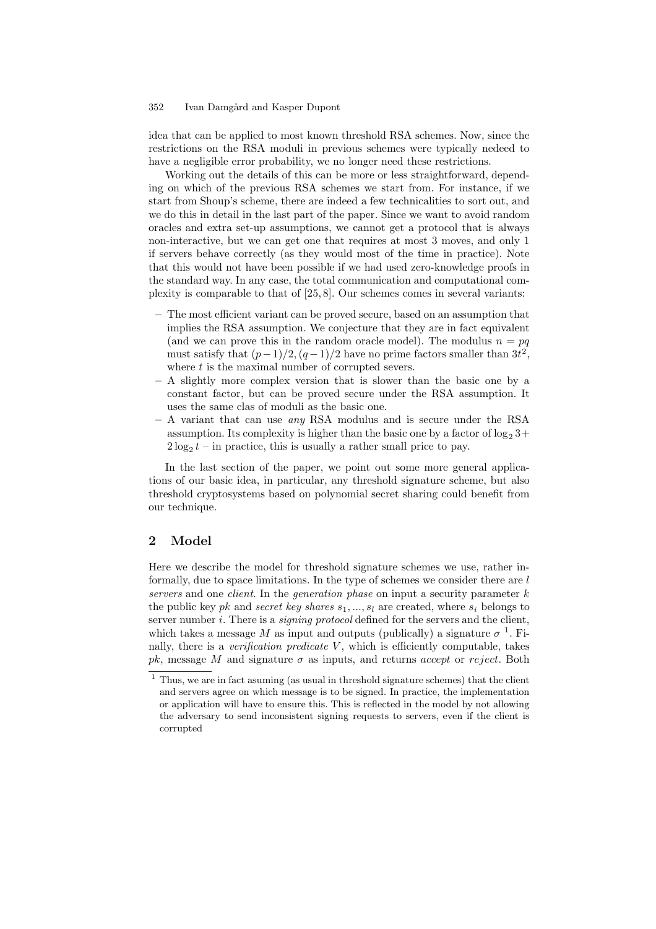idea that can be applied to most known threshold RSA schemes. Now, since the restrictions on the RSA moduli in previous schemes were typically nedeed to have a negligible error probability, we no longer need these restrictions.

Working out the details of this can be more or less straightforward, depending on which of the previous RSA schemes we start from. For instance, if we start from Shoup's scheme, there are indeed a few technicalities to sort out, and we do this in detail in the last part of the paper. Since we want to avoid random oracles and extra set-up assumptions, we cannot get a protocol that is always non-interactive, but we can get one that requires at most 3 moves, and only 1 if servers behave correctly (as they would most of the time in practice). Note that this would not have been possible if we had used zero-knowledge proofs in the standard way. In any case, the total communication and computational complexity is comparable to that of [25, 8]. Our schemes comes in several variants:

- The most efficient variant can be proved secure, based on an assumption that implies the RSA assumption. We conjecture that they are in fact equivalent (and we can prove this in the random oracle model). The modulus  $n = pq$ must satisfy that  $(p-1)/2$ ,  $(q-1)/2$  have no prime factors smaller than  $3t^2$ , where t is the maximal number of corrupted severs.
- A slightly more complex version that is slower than the basic one by a constant factor, but can be proved secure under the RSA assumption. It uses the same clas of moduli as the basic one.
- $-$  A variant that can use *any* RSA modulus and is secure under the RSA assumption. Its complexity is higher than the basic one by a factor of  $\log_2 3+$  $2\log_2 t$  – in practice, this is usually a rather small price to pay.

In the last section of the paper, we point out some more general applications of our basic idea, in particular, any threshold signature scheme, but also threshold cryptosystems based on polynomial secret sharing could benefit from our technique.

# 2 Model

Here we describe the model for threshold signature schemes we use, rather informally, due to space limitations. In the type of schemes we consider there are  $l$ servers and one *client*. In the *generation phase* on input a security parameter  $k$ the public key pk and secret key shares  $s_1, ..., s_l$  are created, where  $s_i$  belongs to server number *i*. There is a *signing protocol* defined for the servers and the client, which takes a message M as input and outputs (publically) a signature  $\sigma^{-1}$ . Finally, there is a *verification predicate*  $V$ , which is efficiently computable, takes pk, message M and signature  $\sigma$  as inputs, and returns accept or reject. Both

 $1$  Thus, we are in fact asuming (as usual in threshold signature schemes) that the client and servers agree on which message is to be signed. In practice, the implementation or application will have to ensure this. This is reflected in the model by not allowing the adversary to send inconsistent signing requests to servers, even if the client is corrupted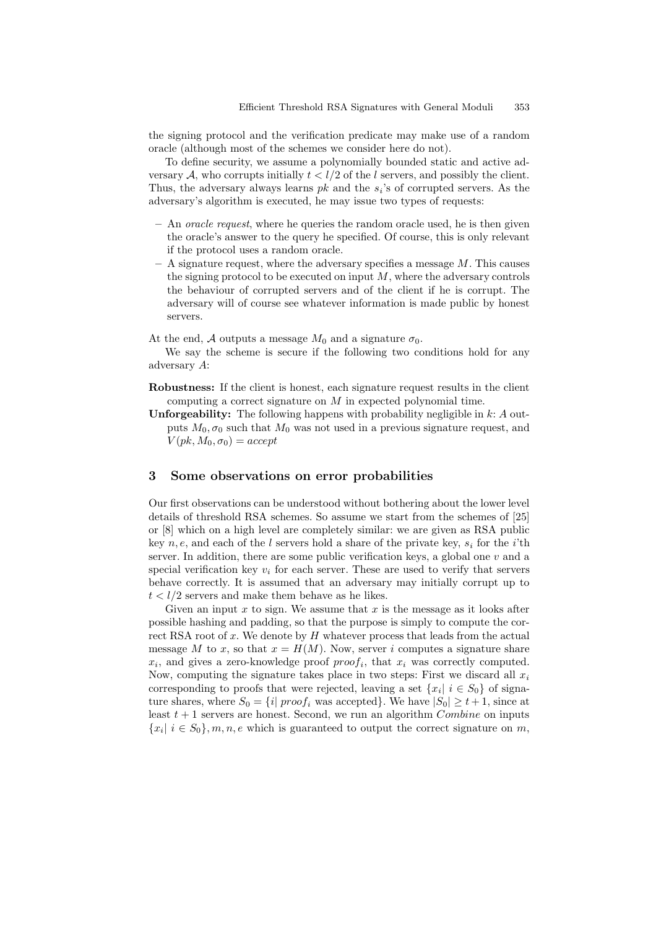the signing protocol and the verification predicate may make use of a random oracle (although most of the schemes we consider here do not).

To define security, we assume a polynomially bounded static and active adversary A, who corrupts initially  $t < l/2$  of the l servers, and possibly the client. Thus, the adversary always learns  $pk$  and the  $s_i$ 's of corrupted servers. As the adversary's algorithm is executed, he may issue two types of requests:

- $-$  An *oracle request*, where he queries the random oracle used, he is then given the oracle's answer to the query he specified. Of course, this is only relevant if the protocol uses a random oracle.
- $-$  A signature request, where the adversary specifies a message  $M$ . This causes the signing protocol to be executed on input  $M$ , where the adversary controls the behaviour of corrupted servers and of the client if he is corrupt. The adversary will of course see whatever information is made public by honest servers.

At the end, A outputs a message  $M_0$  and a signature  $\sigma_0$ .

We say the scheme is secure if the following two conditions hold for any adversary A:

- Robustness: If the client is honest, each signature request results in the client computing a correct signature on M in expected polynomial time.
- **Unforgeability:** The following happens with probability negligible in  $k$ : A outputs  $M_0$ ,  $\sigma_0$  such that  $M_0$  was not used in a previous signature request, and  $V(pk, M_0, \sigma_0) = accept$

## 3 Some observations on error probabilities

Our first observations can be understood without bothering about the lower level details of threshold RSA schemes. So assume we start from the schemes of [25] or [8] which on a high level are completely similar: we are given as RSA public key  $n, e$ , and each of the l servers hold a share of the private key,  $s_i$  for the i'th server. In addition, there are some public verification keys, a global one  $v$  and a special verification key  $v_i$  for each server. These are used to verify that servers behave correctly. It is assumed that an adversary may initially corrupt up to  $t < l/2$  servers and make them behave as he likes.

Given an input  $x$  to sign. We assume that  $x$  is the message as it looks after possible hashing and padding, so that the purpose is simply to compute the correct RSA root of  $x$ . We denote by  $H$  whatever process that leads from the actual message M to x, so that  $x = H(M)$ . Now, server i computes a signature share  $x_i$ , and gives a zero-knowledge proof  $proof_i$ , that  $x_i$  was correctly computed. Now, computing the signature takes place in two steps: First we discard all  $x_i$ corresponding to proofs that were rejected, leaving a set  $\{x_i | i \in S_0\}$  of signature shares, where  $S_0 = \{i \mid proof_i$  was accepted. We have  $|S_0| \geq t+1$ , since at least  $t + 1$  servers are honest. Second, we run an algorithm *Combine* on inputs  ${x_i | i \in S_0}, m, n, e$  which is guaranteed to output the correct signature on m,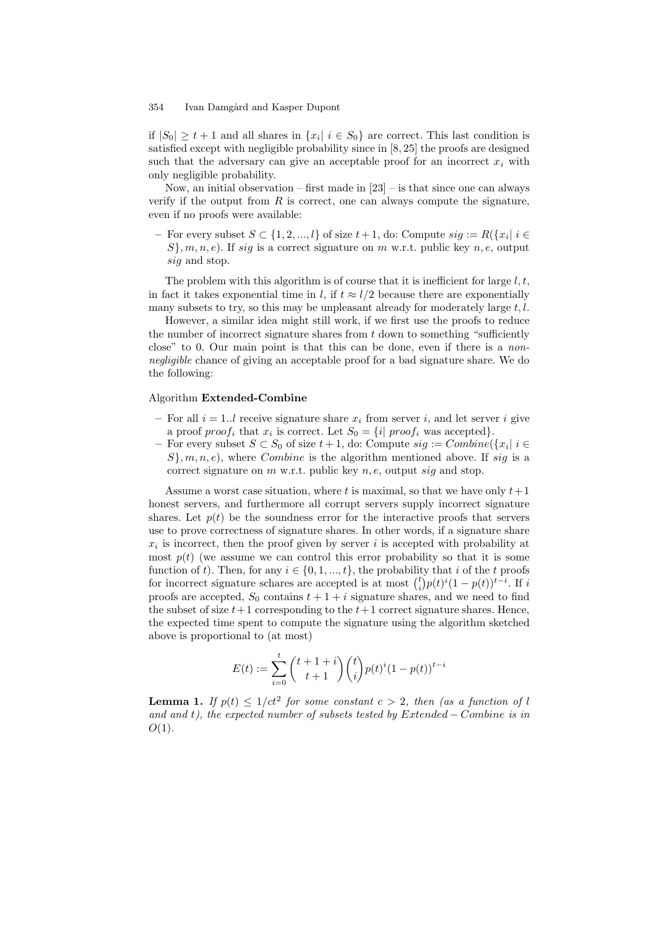if  $|S_0| \geq t+1$  and all shares in  $\{x_i | i \in S_0\}$  are correct. This last condition is satisfied except with negligible probability since in [8, 25] the proofs are designed such that the adversary can give an acceptable proof for an incorrect  $x_i$  with only negligible probability.

Now, an initial observation – first made in  $[23]$  – is that since one can always verify if the output from  $R$  is correct, one can always compute the signature, even if no proofs were available:

 $-$  For every subset  $S \subset \{1, 2, ..., l\}$  of size  $t + 1$ , do: Compute  $sig := R(\{x_i | i \in$  $S$ ,  $m, n, e$ ). If sig is a correct signature on m w.r.t. public key n, e, output sig and stop.

The problem with this algorithm is of course that it is inefficient for large  $l, t$ , in fact it takes exponential time in l, if  $t \approx l/2$  because there are exponentially many subsets to try, so this may be unpleasant already for moderately large  $t, l$ .

However, a similar idea might still work, if we first use the proofs to reduce the number of incorrect signature shares from  $t$  down to something "sufficiently close" to 0. Our main point is that this can be done, even if there is a nonnegligible chance of giving an acceptable proof for a bad signature share. We do the following:

#### Algorithm Extended-Combine

- For all  $i = 1..l$  receive signature share  $x_i$  from server i, and let server i give a proof *proof<sub>i</sub>* that  $x_i$  is correct. Let  $S_0 = \{i | proof_i$  was accepted.
- For every subset  $S \subset S_0$  of size  $t + 1$ , do: Compute  $sig := Combine({x_i | i \in \mathbb{R}^n})$  $S$ ,  $m, n, e$ , where *Combine* is the algorithm mentioned above. If sig is a correct signature on m w.r.t. public key  $n, e$ , output sig and stop.

Assume a worst case situation, where t is maximal, so that we have only  $t+1$ honest servers, and furthermore all corrupt servers supply incorrect signature shares. Let  $p(t)$  be the soundness error for the interactive proofs that servers use to prove correctness of signature shares. In other words, if a signature share  $x_i$  is incorrect, then the proof given by server i is accepted with probability at most  $p(t)$  (we assume we can control this error probability so that it is some function of t). Then, for any  $i \in \{0, 1, ..., t\}$ , the probability that i of the t proofs for incorrect signature schares are accepted is at most  $\binom{t}{i} p(t)^i (1 - p(t))^{t-i}$ . If i proofs are accepted,  $S_0$  contains  $t + 1 + i$  signature shares, and we need to find the subset of size  $t+1$  corresponding to the  $t+1$  correct signature shares. Hence, the expected time spent to compute the signature using the algorithm sketched above is proportional to (at most)

$$
E(t) := \sum_{i=0}^{t} {t+1+i \choose t+1} {t \choose i} p(t)^{i} (1-p(t))^{t-i}
$$

**Lemma 1.** If  $p(t) \leq 1/ct^2$  for some constant  $c > 2$ , then (as a function of l and and t), the expected number of subsets tested by  $Extended - Combine$  is in  $O(1)$ .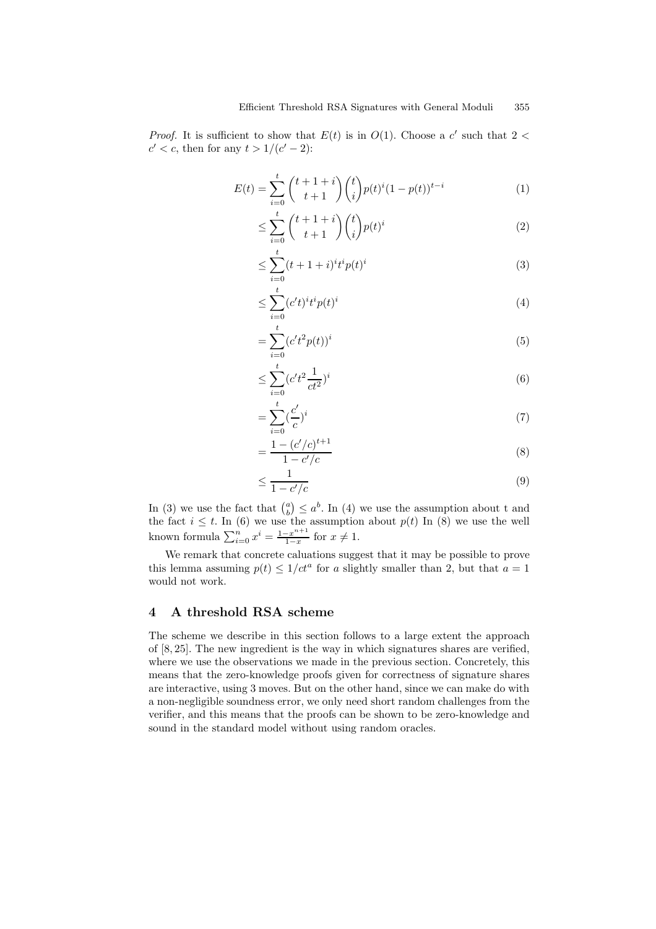*Proof.* It is sufficient to show that  $E(t)$  is in  $O(1)$ . Choose a c' such that 2 <  $c' < c$ , then for any  $t > 1/(c'-2)$ :

$$
E(t) = \sum_{i=0}^{t} {t+1+i \choose t+1} {t \choose i} p(t)^{i} (1-p(t))^{t-i}
$$
 (1)

$$
\leq \sum_{i=0}^{t} {t+1+i \choose t+1} {t \choose i} p(t)^{i} \tag{2}
$$

$$
\leq \sum_{i=0}^{t} (t+1+i)^{i} t^{i} p(t)^{i}
$$
\n(3)

$$
\leq \sum_{i=0}^{t} (c't)^{i} t^{i} p(t)^{i} \tag{4}
$$

$$
=\sum_{i=0}^{t} (c't^2 p(t))^i
$$
\n(5)

$$
\leq \sum_{i=0}^{t} \left(c't^2 \frac{1}{ct^2}\right)^i \tag{6}
$$

$$
=\sum_{i=0}^{t} \left(\frac{c'}{c}\right)^{i} \tag{7}
$$

$$
=\frac{1-(c'/c)^{t+1}}{1-c'/c}
$$
\n(8)

$$
\leq \frac{1}{1 - c'/c} \tag{9}
$$

In (3) we use the fact that  $\binom{a}{b} \leq a^b$ . In (4) we use the assumption about t and the fact  $i \leq t$ . In (6) we use the assumption about  $p(t)$  In (8) we use the well known formula  $\sum_{i=0}^{n} x^{i} = \frac{1-x^{n+1}}{1-x}$  $\frac{-x^{n+1}}{1-x}$  for  $x \neq 1$ .

We remark that concrete caluations suggest that it may be possible to prove this lemma assuming  $p(t) \leq 1/ct^a$  for a slightly smaller than 2, but that  $a = 1$ would not work.

# 4 A threshold RSA scheme

The scheme we describe in this section follows to a large extent the approach of [8, 25]. The new ingredient is the way in which signatures shares are verified, where we use the observations we made in the previous section. Concretely, this means that the zero-knowledge proofs given for correctness of signature shares are interactive, using 3 moves. But on the other hand, since we can make do with a non-negligible soundness error, we only need short random challenges from the verifier, and this means that the proofs can be shown to be zero-knowledge and sound in the standard model without using random oracles.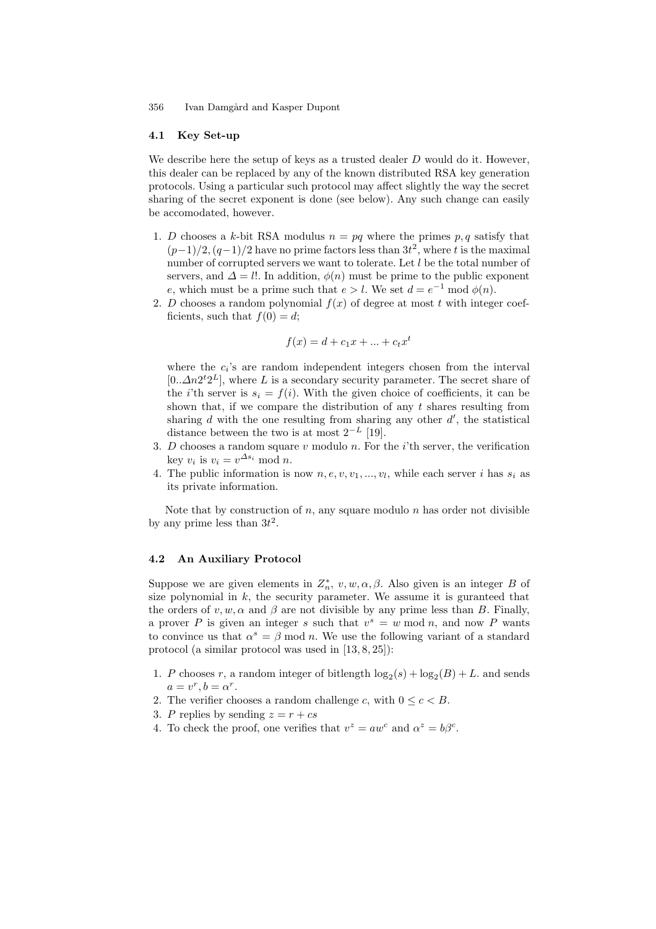#### 4.1 Key Set-up

We describe here the setup of keys as a trusted dealer  $D$  would do it. However, this dealer can be replaced by any of the known distributed RSA key generation protocols. Using a particular such protocol may affect slightly the way the secret sharing of the secret exponent is done (see below). Any such change can easily be accomodated, however.

- 1. D chooses a k-bit RSA modulus  $n = pq$  where the primes p, q satisfy that  $(p-1)/2$ ,  $(q-1)/2$  have no prime factors less than  $3t<sup>2</sup>$ , where t is the maximal number of corrupted servers we want to tolerate. Let l be the total number of servers, and  $\Delta = l!$ . In addition,  $\phi(n)$  must be prime to the public exponent e, which must be a prime such that  $e > l$ . We set  $d = e^{-1} \mod \phi(n)$ .
- 2. D chooses a random polynomial  $f(x)$  of degree at most t with integer coefficients, such that  $f(0) = d$ ;

$$
f(x) = d + c_1 x + \dots + c_t x^t
$$

where the  $c_i$ 's are random independent integers chosen from the interval [0.. $\Delta n 2^{t} 2^{L}$ ], where L is a secondary security parameter. The secret share of the *i*'th server is  $s_i = f(i)$ . With the given choice of coefficients, it can be shown that, if we compare the distribution of any  $t$  shares resulting from sharing  $d$  with the one resulting from sharing any other  $d'$ , the statistical distance between the two is at most  $2^{-L}$  [19].

- 3. D chooses a random square v modulo n. For the  $i$ <sup>th</sup> server, the verification key  $v_i$  is  $v_i = v^{\Delta s_i} \mod n$ .
- 4. The public information is now  $n, e, v, v_1, ..., v_l$ , while each server i has  $s_i$  as its private information.

Note that by construction of  $n$ , any square modulo  $n$  has order not divisible by any prime less than  $3t^2$ .

#### 4.2 An Auxiliary Protocol

Suppose we are given elements in  $Z_n^*, v, w, \alpha, \beta$ . Also given is an integer B of size polynomial in  $k$ , the security parameter. We assume it is guranteed that the orders of  $v, w, \alpha$  and  $\beta$  are not divisible by any prime less than B. Finally, a prover P is given an integer s such that  $v^s = w \mod n$ , and now P wants to convince us that  $\alpha^s = \beta \mod n$ . We use the following variant of a standard protocol (a similar protocol was used in [13, 8, 25]):

- 1. P chooses r, a random integer of bitlength  $\log_2(s) + \log_2(B) + L$  and sends  $a = v^r, b = \alpha^r.$
- 2. The verifier chooses a random challenge c, with  $0 \leq c < B$ .
- 3. P replies by sending  $z = r + cs$
- 4. To check the proof, one verifies that  $v^z = aw^c$  and  $\alpha^z = b\beta^c$ .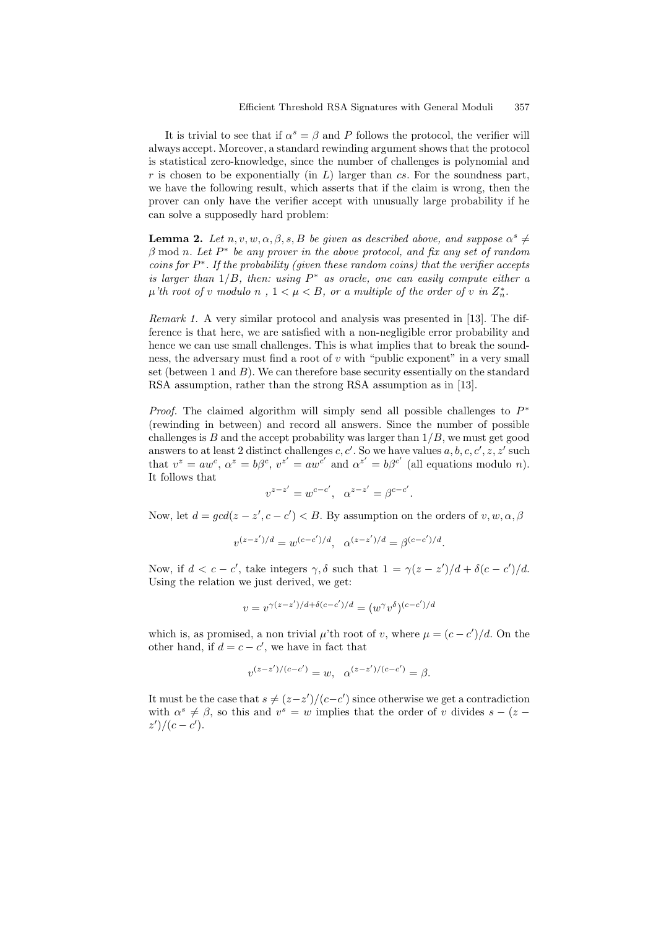It is trivial to see that if  $\alpha^s = \beta$  and P follows the protocol, the verifier will always accept. Moreover, a standard rewinding argument shows that the protocol is statistical zero-knowledge, since the number of challenges is polynomial and  $r$  is chosen to be exponentially (in  $L$ ) larger than cs. For the soundness part, we have the following result, which asserts that if the claim is wrong, then the prover can only have the verifier accept with unusually large probability if he can solve a supposedly hard problem:

**Lemma 2.** Let  $n, v, w, \alpha, \beta, s, B$  be given as described above, and suppose  $\alpha^s \neq$  $\beta$  mod n. Let  $P^*$  be any prover in the above protocol, and fix any set of random  $\text{cions for } P^*$ . If the probability (given these random coins) that the verifier accepts is larger than  $1/B$ , then: using  $P^*$  as oracle, one can easily compute either a  $\mu$ 'th root of v modulo n,  $1 < \mu < B$ , or a multiple of the order of v in  $Z_n^*$ .

Remark 1. A very similar protocol and analysis was presented in [13]. The difference is that here, we are satisfied with a non-negligible error probability and hence we can use small challenges. This is what implies that to break the soundness, the adversary must find a root of  $v$  with "public exponent" in a very small set (between 1 and  $B$ ). We can therefore base security essentially on the standard RSA assumption, rather than the strong RSA assumption as in [13].

*Proof.* The claimed algorithm will simply send all possible challenges to  $P^*$ (rewinding in between) and record all answers. Since the number of possible challenges is  $B$  and the accept probability was larger than  $1/B$ , we must get good answers to at least 2 distinct challenges  $c, c'$ . So we have values  $a, b, c, c', z, z'$  such that  $v^z = aw^c$ ,  $\alpha^z = b\beta^c$ ,  $v^{z'} = aw^{c'}$  and  $\alpha^{z'} = b\beta^{c'}$  (all equations modulo *n*). It follows that

$$
v^{z-z'} = w^{c-c'}, \quad \alpha^{z-z'} = \beta^{c-c'}.
$$

Now, let  $d = gcd(z - z', c - c') < B$ . By assumption on the orders of  $v, w, \alpha, \beta$ 

$$
v^{(z-z')/d} = w^{(c-c')/d}, \quad \alpha^{(z-z')/d} = \beta^{(c-c')/d}.
$$

Now, if  $d < c - c'$ , take integers  $\gamma$ ,  $\delta$  such that  $1 = \gamma(z - z')/d + \delta(c - c')/d$ . Using the relation we just derived, we get:

$$
v = v^{\gamma(z-z')/d + \delta(c-c')/d} = (w^{\gamma}v^{\delta})^{(c-c')/d}
$$

which is, as promised, a non trivial  $\mu$ 'th root of v, where  $\mu = (c - c')/d$ . On the other hand, if  $d = c - c'$ , we have in fact that

$$
v^{(z-z')/(c-c')} = w, \ \alpha^{(z-z')/(c-c')} = \beta.
$$

It must be the case that  $s \neq (z-z')/(c-c')$  since otherwise we get a contradiction with  $\alpha^s \neq \beta$ , so this and  $v^s = w$  implies that the order of v divides  $s - (z$  $z'$ )/ $(c - c')$ .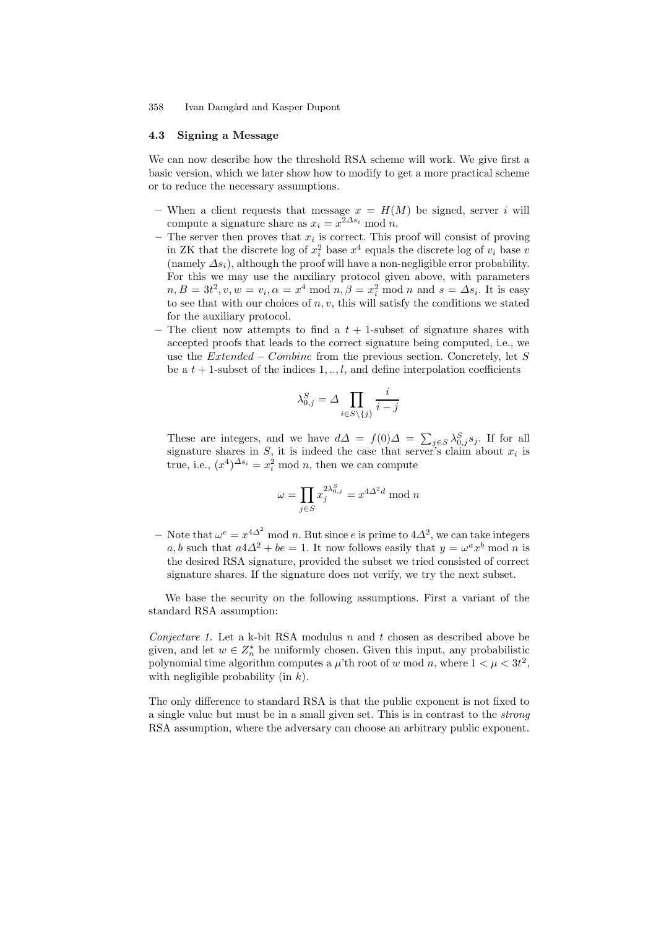#### 4.3 Signing a Message

We can now describe how the threshold RSA scheme will work. We give first a basic version, which we later show how to modify to get a more practical scheme or to reduce the necessary assumptions.

- When a client requests that message  $x = H(M)$  be signed, server i will compute a signature share as  $x_i = x^{2\Delta s_i} \text{ mod } n$ .
- $-$  The server then proves that  $x_i$  is correct. This proof will consist of proving in ZK that the discrete log of  $x_i^2$  base  $x^4$  equals the discrete log of  $v_i$  base  $v$ (namely  $\Delta s_i$ ), although the proof will have a non-negligible error probability. For this we may use the auxiliary protocol given above, with parameters  $n, B = 3t^2, v, w = v_i, \alpha = x^4 \mod n, \beta = x_i^2 \mod n$  and  $s = \Delta s_i$ . It is easy to see that with our choices of  $n, v$ , this will satisfy the conditions we stated for the auxiliary protocol.
- The client now attempts to find a  $t + 1$ -subset of signature shares with accepted proofs that leads to the correct signature being computed, i.e., we use the  $Extended - Combine$  from the previous section. Concretely, let S be a  $t + 1$ -subset of the indices 1, ..., l, and define interpolation coefficients

$$
\lambda_{0,j}^S = \varDelta \prod_{i \in S \setminus \{j\}} \frac{i}{i-j}
$$

These are integers, and we have  $d\Delta = f(0)\Delta = \sum_{j \in S} \lambda_{0,j}^S s_j$ . If for all signature shares in  $S$ , it is indeed the case that server's claim about  $x_i$  is true, i.e.,  $(x^4)^{\Delta s_i} = x_i^2 \text{ mod } n$ , then we can compute

$$
\omega = \prod_{j \in S} x_j^{2\lambda_{0,j}^S} = x^{4\Delta^2 d} \bmod n
$$

- Note that  $\omega^e = x^{4\Delta^2} \mod n$ . But since e is prime to  $4\Delta^2$ , we can take integers a, b such that  $a4\Delta^2 + be = 1$ . It now follows easily that  $y = \omega^a x^b \mod n$  is the desired RSA signature, provided the subset we tried consisted of correct signature shares. If the signature does not verify, we try the next subset.

We base the security on the following assumptions. First a variant of the standard RSA assumption:

Conjecture 1. Let a k-bit RSA modulus  $n$  and  $t$  chosen as described above be given, and let  $w \in Z_n^*$  be uniformly chosen. Given this input, any probabilistic polynomial time algorithm computes a  $\mu$ 'th root of w mod n, where  $1 < \mu < 3t^2$ , with negligible probability (in  $k$ ).

The only difference to standard RSA is that the public exponent is not fixed to a single value but must be in a small given set. This is in contrast to the strong RSA assumption, where the adversary can choose an arbitrary public exponent.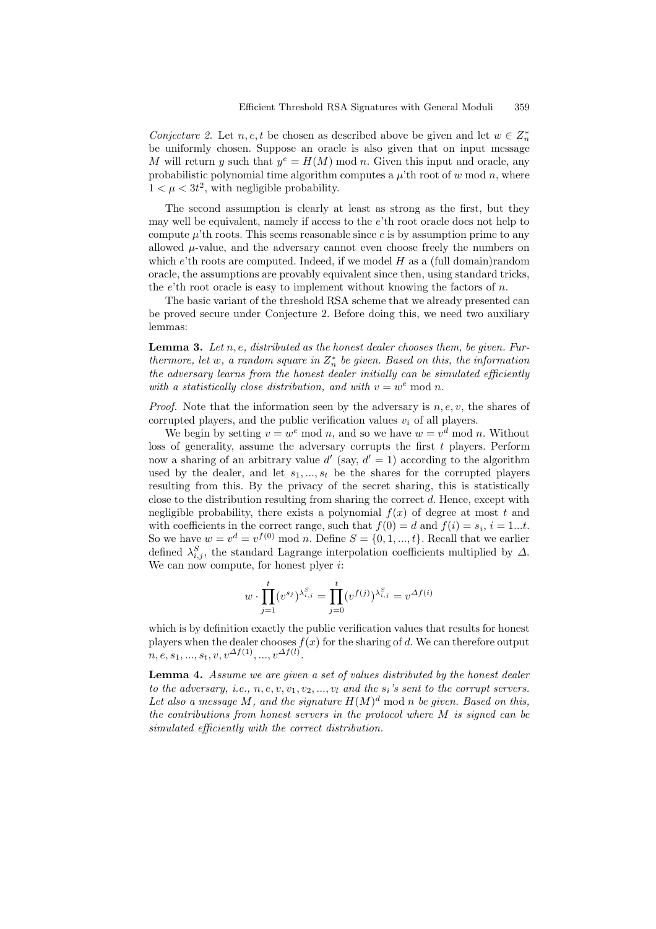Conjecture 2. Let  $n, e, t$  be chosen as described above be given and let  $w \in Z_n^*$ be uniformly chosen. Suppose an oracle is also given that on input message M will return y such that  $y^e = H(M) \text{ mod } n$ . Given this input and oracle, any probabilistic polynomial time algorithm computes a  $\mu$ 'th root of w mod n, where  $1 < \mu < 3t^2$ , with negligible probability.

The second assumption is clearly at least as strong as the first, but they may well be equivalent, namely if access to the e'th root oracle does not help to compute  $\mu$ 'th roots. This seems reasonable since e is by assumption prime to any allowed  $\mu$ -value, and the adversary cannot even choose freely the numbers on which  $e$ 'th roots are computed. Indeed, if we model H as a (full domain)random oracle, the assumptions are provably equivalent since then, using standard tricks, the e'th root oracle is easy to implement without knowing the factors of  $n$ .

The basic variant of the threshold RSA scheme that we already presented can be proved secure under Conjecture 2. Before doing this, we need two auxiliary lemmas:

**Lemma 3.** Let  $n, e$ , distributed as the honest dealer chooses them, be given. Furthermore, let w, a random square in  $Z_n^*$  be given. Based on this, the information the adversary learns from the honest dealer initially can be simulated efficiently with a statistically close distribution, and with  $v = w^e \mod n$ .

*Proof.* Note that the information seen by the adversary is  $n, e, v$ , the shares of corrupted players, and the public verification values  $v_i$  of all players.

We begin by setting  $v = w^e \mod n$ , and so we have  $w = v^d \mod n$ . Without loss of generality, assume the adversary corrupts the first  $t$  players. Perform now a sharing of an arbitrary value  $d'$  (say,  $d' = 1$ ) according to the algorithm used by the dealer, and let  $s_1, ..., s_t$  be the shares for the corrupted players resulting from this. By the privacy of the secret sharing, this is statistically close to the distribution resulting from sharing the correct  $d$ . Hence, except with negligible probability, there exists a polynomial  $f(x)$  of degree at most t and with coefficients in the correct range, such that  $f(0) = d$  and  $f(i) = s_i$ ,  $i = 1...t$ . So we have  $w = v^d = v^{f(0)} \mod n$ . Define  $S = \{0, 1, ..., t\}$ . Recall that we earlier defined  $\lambda_{i,j}^S$ , the standard Lagrange interpolation coefficients multiplied by  $\Delta$ . We can now compute, for honest plyer  $i$ :

$$
w \cdot \prod_{j=1}^{t} (v^{s_j})^{\lambda_{i,j}^S} = \prod_{j=0}^{t} (v^{f(j)})^{\lambda_{i,j}^S} = v^{\Delta f(i)}
$$

which is by definition exactly the public verification values that results for honest players when the dealer chooses  $f(x)$  for the sharing of d. We can therefore output  $n, e, s_1, ..., s_t, v, v^{\Delta f(1)}, ..., v^{\Delta f(l)}.$ 

Lemma 4. Assume we are given a set of values distributed by the honest dealer to the adversary, i.e.,  $n, e, v, v_1, v_2, ..., v_l$  and the  $s_i$ 's sent to the corrupt servers. Let also a message M, and the signature  $H(M)^d \mod n$  be given. Based on this, the contributions from honest servers in the protocol where M is signed can be simulated efficiently with the correct distribution.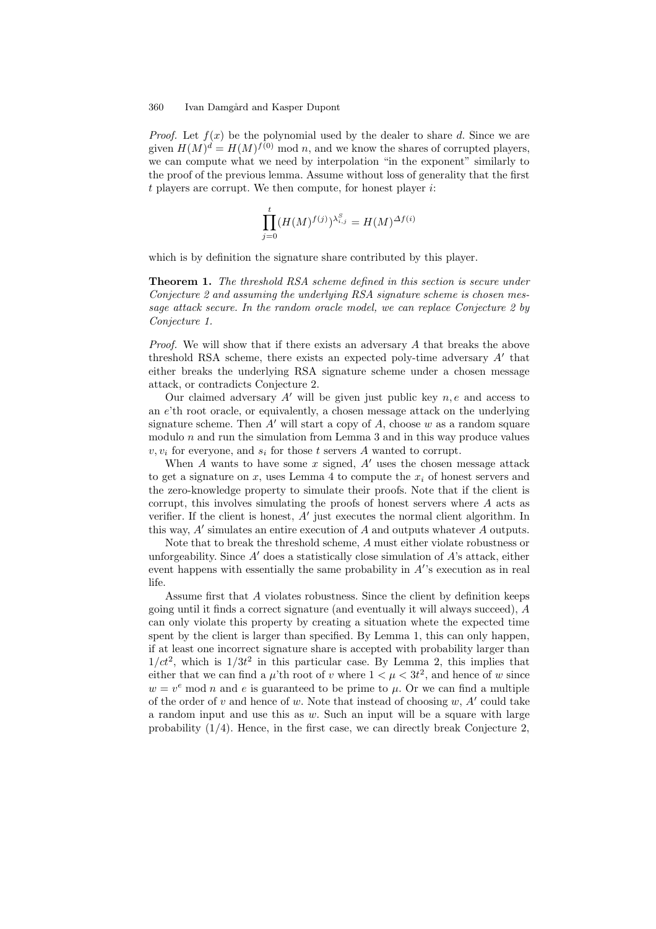*Proof.* Let  $f(x)$  be the polynomial used by the dealer to share d. Since we are given  $H(M)^d = H(M)^{f(0)}$  mod n, and we know the shares of corrupted players, we can compute what we need by interpolation "in the exponent" similarly to the proof of the previous lemma. Assume without loss of generality that the first t players are corrupt. We then compute, for honest player  $i$ :

$$
\prod_{j=0}^t (H(M)^{f(j)})^{\lambda_{i,j}^S} = H(M)^{\Delta f(i)}
$$

which is by definition the signature share contributed by this player.

**Theorem 1.** The threshold RSA scheme defined in this section is secure under Conjecture 2 and assuming the underlying RSA signature scheme is chosen message attack secure. In the random oracle model, we can replace Conjecture 2 by Conjecture 1.

Proof. We will show that if there exists an adversary A that breaks the above threshold RSA scheme, there exists an expected poly-time adversary  $A'$  that either breaks the underlying RSA signature scheme under a chosen message attack, or contradicts Conjecture 2.

Our claimed adversary  $A'$  will be given just public key  $n, e$  and access to an e'th root oracle, or equivalently, a chosen message attack on the underlying signature scheme. Then  $A'$  will start a copy of  $A$ , choose w as a random square modulo  $n$  and run the simulation from Lemma 3 and in this way produce values  $v, v_i$  for everyone, and  $s_i$  for those t servers A wanted to corrupt.

When A wants to have some x signed,  $A'$  uses the chosen message attack to get a signature on x, uses Lemma 4 to compute the  $x_i$  of honest servers and the zero-knowledge property to simulate their proofs. Note that if the client is corrupt, this involves simulating the proofs of honest servers where A acts as verifier. If the client is honest,  $A'$  just executes the normal client algorithm. In this way,  $A'$  simulates an entire execution of  $A$  and outputs whatever  $A$  outputs.

Note that to break the threshold scheme, A must either violate robustness or unforgeability. Since  $A'$  does a statistically close simulation of  $A'$ 's attack, either event happens with essentially the same probability in  $A$ 's execution as in real life.

Assume first that A violates robustness. Since the client by definition keeps going until it finds a correct signature (and eventually it will always succeed), A can only violate this property by creating a situation whete the expected time spent by the client is larger than specified. By Lemma 1, this can only happen, if at least one incorrect signature share is accepted with probability larger than  $1/ct^2$ , which is  $1/3t^2$  in this particular case. By Lemma 2, this implies that either that we can find a  $\mu$ 'th root of v where  $1 < \mu < 3t^2$ , and hence of w since  $w = v<sup>e</sup>$  mod *n* and *e* is guaranteed to be prime to  $\mu$ . Or we can find a multiple of the order of v and hence of w. Note that instead of choosing  $w$ ,  $A'$  could take a random input and use this as  $w$ . Such an input will be a square with large probability  $(1/4)$ . Hence, in the first case, we can directly break Conjecture 2,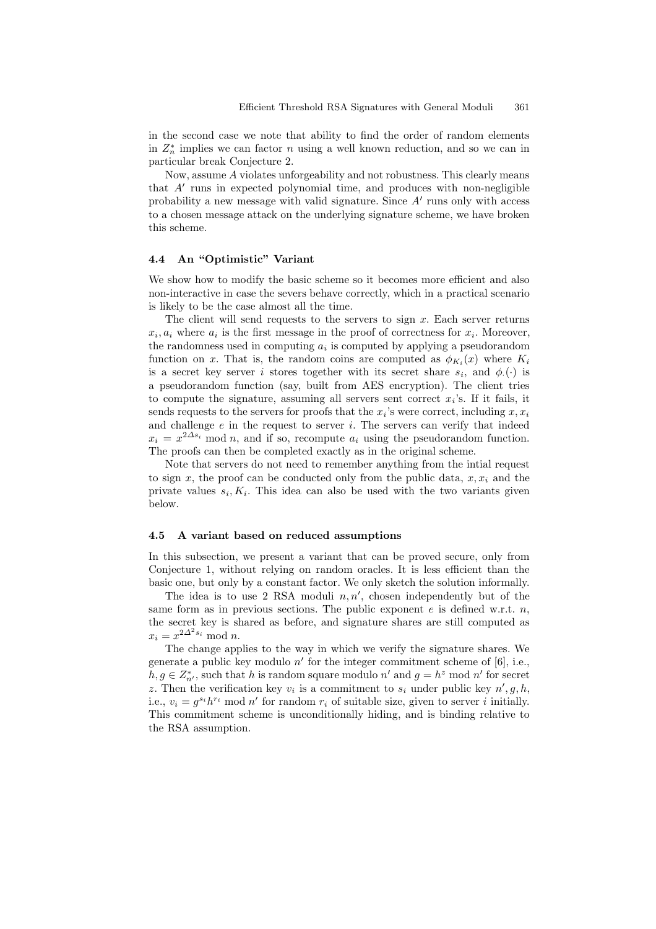in the second case we note that ability to find the order of random elements in  $Z_n^*$  implies we can factor n using a well known reduction, and so we can in particular break Conjecture 2.

Now, assume A violates unforgeability and not robustness. This clearly means that  $A'$  runs in expected polynomial time, and produces with non-negligible probability a new message with valid signature. Since  $A'$  runs only with access to a chosen message attack on the underlying signature scheme, we have broken this scheme.

#### 4.4 An "Optimistic" Variant

We show how to modify the basic scheme so it becomes more efficient and also non-interactive in case the severs behave correctly, which in a practical scenario is likely to be the case almost all the time.

The client will send requests to the servers to sign  $x$ . Each server returns  $x_i, a_i$  where  $a_i$  is the first message in the proof of correctness for  $x_i$ . Moreover, the randomness used in computing  $a_i$  is computed by applying a pseudorandom function on x. That is, the random coins are computed as  $\phi_{K_i}(x)$  where  $K_i$ is a secret key server i stores together with its secret share  $s_i$ , and  $\phi$ .( $\cdot$ ) is a pseudorandom function (say, built from AES encryption). The client tries to compute the signature, assuming all servers sent correct  $x_i$ 's. If it fails, it sends requests to the servers for proofs that the  $x_i$ 's were correct, including  $x, x_i$ and challenge  $e$  in the request to server  $i$ . The servers can verify that indeed  $x_i = x^{2\Delta s_i}$  mod n, and if so, recompute  $a_i$  using the pseudorandom function. The proofs can then be completed exactly as in the original scheme.

Note that servers do not need to remember anything from the intial request to sign x, the proof can be conducted only from the public data,  $x, x_i$  and the private values  $s_i, K_i$ . This idea can also be used with the two variants given below.

#### 4.5 A variant based on reduced assumptions

In this subsection, we present a variant that can be proved secure, only from Conjecture 1, without relying on random oracles. It is less efficient than the basic one, but only by a constant factor. We only sketch the solution informally.

The idea is to use 2 RSA moduli  $n, n'$ , chosen independently but of the same form as in previous sections. The public exponent  $e$  is defined w.r.t.  $n$ , the secret key is shared as before, and signature shares are still computed as  $x_i = x^{2\Delta^2 s_i} \text{ mod } n.$ 

The change applies to the way in which we verify the signature shares. We generate a public key modulo  $n'$  for the integer commitment scheme of [6], i.e.,  $h, g \in Z_{n'}^*$ , such that h is random square modulo  $n'$  and  $g = h^z \mod n'$  for secret z. Then the verification key  $v_i$  is a commitment to  $s_i$  under public key  $n', g, h$ , i.e.,  $v_i = g^{s_i} h^{r_i} \mod n'$  for random  $r_i$  of suitable size, given to server *i* initially. This commitment scheme is unconditionally hiding, and is binding relative to the RSA assumption.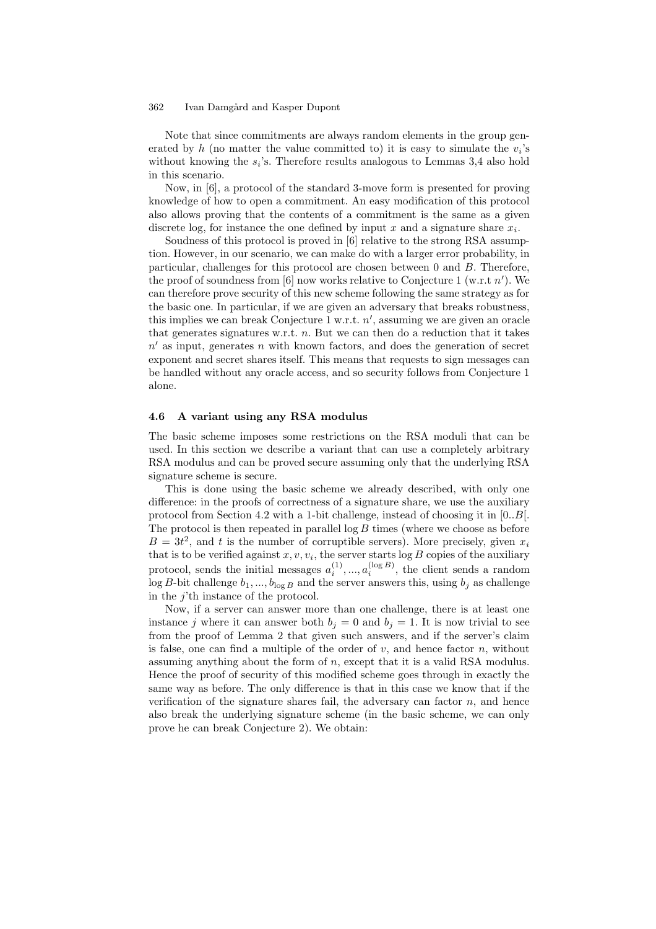Note that since commitments are always random elements in the group generated by h (no matter the value committed to) it is easy to simulate the  $v_i$ 's without knowing the  $s_i$ 's. Therefore results analogous to Lemmas 3,4 also hold in this scenario.

Now, in [6], a protocol of the standard 3-move form is presented for proving knowledge of how to open a commitment. An easy modification of this protocol also allows proving that the contents of a commitment is the same as a given discrete log, for instance the one defined by input x and a signature share  $x_i$ .

Soudness of this protocol is proved in [6] relative to the strong RSA assumption. However, in our scenario, we can make do with a larger error probability, in particular, challenges for this protocol are chosen between 0 and B. Therefore, the proof of soundness from [6] now works relative to Conjecture 1 (w.r.t  $n'$ ). We can therefore prove security of this new scheme following the same strategy as for the basic one. In particular, if we are given an adversary that breaks robustness, this implies we can break Conjecture 1 w.r.t.  $n'$ , assuming we are given an oracle that generates signatures w.r.t.  $n$ . But we can then do a reduction that it takes  $n'$  as input, generates n with known factors, and does the generation of secret exponent and secret shares itself. This means that requests to sign messages can be handled without any oracle access, and so security follows from Conjecture 1 alone.

#### 4.6 A variant using any RSA modulus

The basic scheme imposes some restrictions on the RSA moduli that can be used. In this section we describe a variant that can use a completely arbitrary RSA modulus and can be proved secure assuming only that the underlying RSA signature scheme is secure.

This is done using the basic scheme we already described, with only one difference: in the proofs of correctness of a signature share, we use the auxiliary protocol from Section 4.2 with a 1-bit challenge, instead of choosing it in [0..B[. The protocol is then repeated in parallel  $\log B$  times (where we choose as before  $B = 3t^2$ , and t is the number of corruptible servers). More precisely, given  $x_i$ that is to be verified against  $x, v, v_i$ , the server starts  $\log B$  copies of the auxiliary protocol, sends the initial messages  $a_i^{(1)},...,a_i^{(\log B)}$ , the client sends a random log B-bit challenge  $b_1, ..., b_{\log B}$  and the server answers this, using  $b_j$  as challenge in the j'th instance of the protocol.

Now, if a server can answer more than one challenge, there is at least one instance j where it can answer both  $b_j = 0$  and  $b_j = 1$ . It is now trivial to see from the proof of Lemma 2 that given such answers, and if the server's claim is false, one can find a multiple of the order of  $v$ , and hence factor  $n$ , without assuming anything about the form of  $n$ , except that it is a valid RSA modulus. Hence the proof of security of this modified scheme goes through in exactly the same way as before. The only difference is that in this case we know that if the verification of the signature shares fail, the adversary can factor  $n$ , and hence also break the underlying signature scheme (in the basic scheme, we can only prove he can break Conjecture 2). We obtain: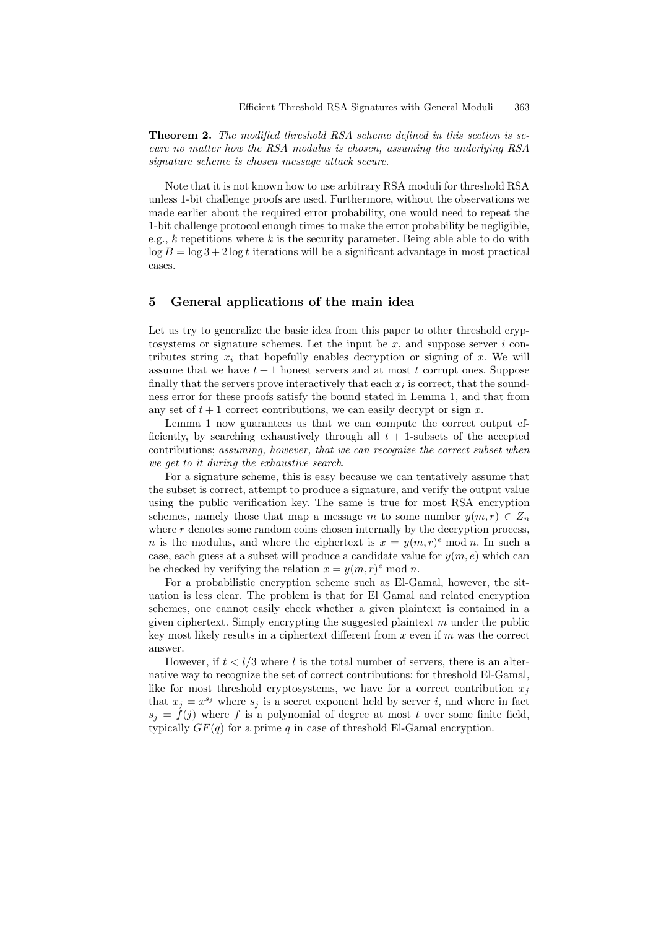**Theorem 2.** The modified threshold RSA scheme defined in this section is secure no matter how the RSA modulus is chosen, assuming the underlying RSA signature scheme is chosen message attack secure.

Note that it is not known how to use arbitrary RSA moduli for threshold RSA unless 1-bit challenge proofs are used. Furthermore, without the observations we made earlier about the required error probability, one would need to repeat the 1-bit challenge protocol enough times to make the error probability be negligible, e.g., k repetitions where k is the security parameter. Being able able to do with  $\log B = \log 3 + 2 \log t$  iterations will be a significant advantage in most practical cases.

## 5 General applications of the main idea

Let us try to generalize the basic idea from this paper to other threshold cryptosystems or signature schemes. Let the input be  $x$ , and suppose server  $i$  contributes string  $x_i$  that hopefully enables decryption or signing of  $x$ . We will assume that we have  $t + 1$  honest servers and at most t corrupt ones. Suppose finally that the servers prove interactively that each  $x_i$  is correct, that the soundness error for these proofs satisfy the bound stated in Lemma 1, and that from any set of  $t + 1$  correct contributions, we can easily decrypt or sign x.

Lemma 1 now guarantees us that we can compute the correct output efficiently, by searching exhaustively through all  $t + 1$ -subsets of the accepted contributions; assuming, however, that we can recognize the correct subset when we get to it during the exhaustive search.

For a signature scheme, this is easy because we can tentatively assume that the subset is correct, attempt to produce a signature, and verify the output value using the public verification key. The same is true for most RSA encryption schemes, namely those that map a message m to some number  $y(m, r) \in Z_n$ where  $r$  denotes some random coins chosen internally by the decryption process, *n* is the modulus, and where the ciphertext is  $x = y(m, r)^e \mod n$ . In such a case, each guess at a subset will produce a candidate value for  $y(m, e)$  which can be checked by verifying the relation  $x = y(m, r)^e \mod n$ .

For a probabilistic encryption scheme such as El-Gamal, however, the situation is less clear. The problem is that for El Gamal and related encryption schemes, one cannot easily check whether a given plaintext is contained in a given ciphertext. Simply encrypting the suggested plaintext  $m$  under the public key most likely results in a ciphertext different from  $x$  even if  $m$  was the correct answer.

However, if  $t < l/3$  where l is the total number of servers, there is an alternative way to recognize the set of correct contributions: for threshold El-Gamal, like for most threshold cryptosystems, we have for a correct contribution  $x_j$ that  $x_j = x^{s_j}$  where  $s_j$  is a secret exponent held by server i, and where in fact  $s_i = f(i)$  where f is a polynomial of degree at most t over some finite field, typically  $GF(q)$  for a prime q in case of threshold El-Gamal encryption.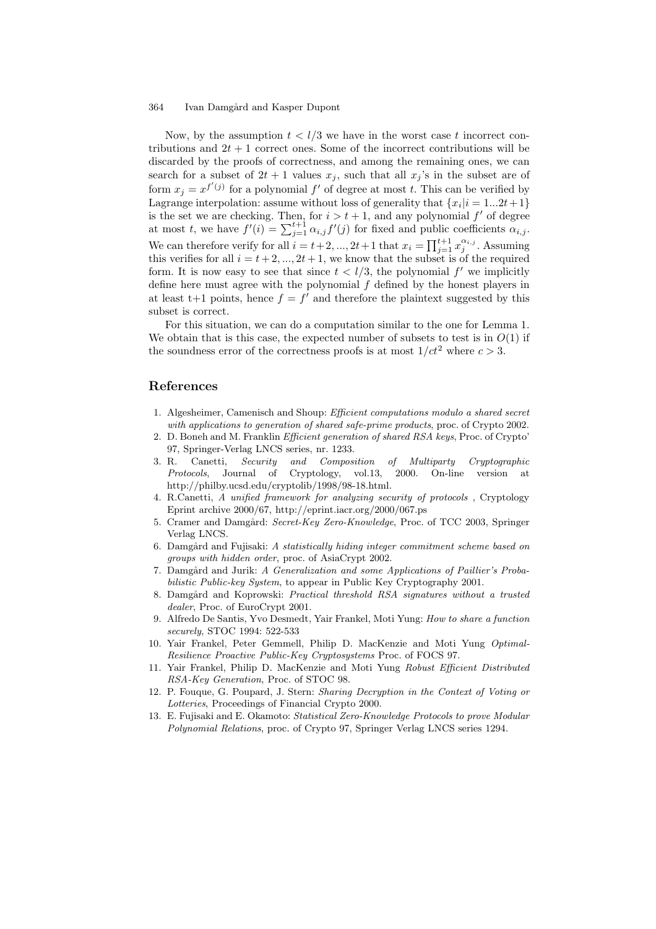Now, by the assumption  $t < l/3$  we have in the worst case t incorrect contributions and  $2t + 1$  correct ones. Some of the incorrect contributions will be discarded by the proofs of correctness, and among the remaining ones, we can search for a subset of  $2t + 1$  values  $x_j$ , such that all  $x_j$ 's in the subset are of form  $x_j = x^{f'(j)}$  for a polynomial f' of degree at most t. This can be verified by Lagrange interpolation: assume without loss of generality that  ${x_i | i = 1...2t+1}$ is the set we are checking. Then, for  $i > t + 1$ , and any polynomial f' of degree at most t, we have  $f'(i) = \sum_{j=1}^{t+1} \alpha_{i,j} f'(j)$  for fixed and public coefficients  $\alpha_{i,j}$ . We can therefore verify for all  $i = t+2, ..., 2t+1$  that  $x_i = \prod_{j=1}^{t+1} x_j^{\alpha_{i,j}}$ . Assuming this verifies for all  $i = t + 2, ..., 2t + 1$ , we know that the subset is of the required form. It is now easy to see that since  $t < l/3$ , the polynomial  $f'$  we implicitly define here must agree with the polynomial f defined by the honest players in at least t+1 points, hence  $f = f'$  and therefore the plaintext suggested by this subset is correct.

For this situation, we can do a computation similar to the one for Lemma 1. We obtain that is this case, the expected number of subsets to test is in  $O(1)$  if the soundness error of the correctness proofs is at most  $1/ct^2$  where  $c > 3$ .

# References

- 1. Algesheimer, Camenisch and Shoup: Efficient computations modulo a shared secret with applications to generation of shared safe-prime products, proc. of Crypto 2002.
- 2. D. Boneh and M. Franklin Efficient generation of shared RSA keys, Proc. of Crypto' 97, Springer-Verlag LNCS series, nr. 1233.
- 3. R. Canetti, Security and Composition of Multiparty Cryptographic Protocols, Journal of Cryptology, vol.13, 2000. On-line version at http://philby.ucsd.edu/cryptolib/1998/98-18.html.
- 4. R.Canetti, A unified framework for analyzing security of protocols , Cryptology Eprint archive 2000/67, http://eprint.iacr.org/2000/067.ps
- 5. Cramer and Damgård: Secret-Key Zero-Knowledge, Proc. of TCC 2003, Springer Verlag LNCS.
- 6. Damgård and Fujisaki: A statistically hiding integer commitment scheme based on groups with hidden order, proc. of AsiaCrypt 2002.
- 7. Damgård and Jurik: A Generalization and some Applications of Paillier's Probabilistic Public-key System, to appear in Public Key Cryptography 2001.
- 8. Damgård and Koprowski: Practical threshold RSA signatures without a trusted dealer, Proc. of EuroCrypt 2001.
- 9. Alfredo De Santis, Yvo Desmedt, Yair Frankel, Moti Yung: How to share a function securely, STOC 1994: 522-533
- 10. Yair Frankel, Peter Gemmell, Philip D. MacKenzie and Moti Yung Optimal-Resilience Proactive Public-Key Cryptosystems Proc. of FOCS 97.
- 11. Yair Frankel, Philip D. MacKenzie and Moti Yung Robust Efficient Distributed RSA-Key Generation, Proc. of STOC 98.
- 12. P. Fouque, G. Poupard, J. Stern: Sharing Decryption in the Context of Voting or Lotteries, Proceedings of Financial Crypto 2000.
- 13. E. Fujisaki and E. Okamoto: Statistical Zero-Knowledge Protocols to prove Modular Polynomial Relations, proc. of Crypto 97, Springer Verlag LNCS series 1294.